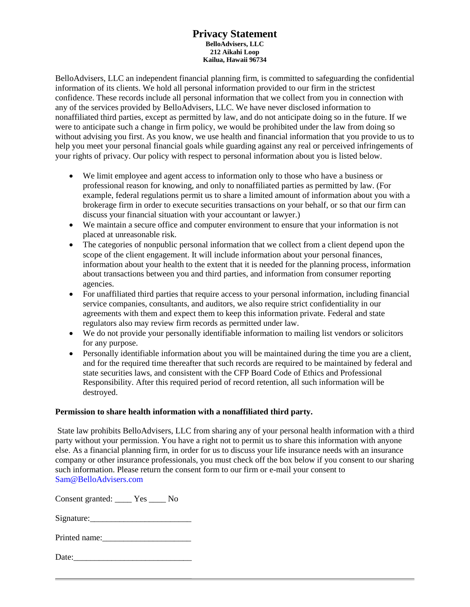### **Privacy Statement BelloAdvisers, LLC 212 Aikahi Loop Kailua, Hawaii 96734**

BelloAdvisers, LLC an independent financial planning firm, is committed to safeguarding the confidential information of its clients. We hold all personal information provided to our firm in the strictest confidence. These records include all personal information that we collect from you in connection with any of the services provided by BelloAdvisers, LLC. We have never disclosed information to nonaffiliated third parties, except as permitted by law, and do not anticipate doing so in the future. If we were to anticipate such a change in firm policy, we would be prohibited under the law from doing so without advising you first. As you know, we use health and financial information that you provide to us to help you meet your personal financial goals while guarding against any real or perceived infringements of your rights of privacy. Our policy with respect to personal information about you is listed below.

- We limit employee and agent access to information only to those who have a business or professional reason for knowing, and only to nonaffiliated parties as permitted by law. (For example, federal regulations permit us to share a limited amount of information about you with a brokerage firm in order to execute securities transactions on your behalf, or so that our firm can discuss your financial situation with your accountant or lawyer.)
- We maintain a secure office and computer environment to ensure that your information is not placed at unreasonable risk.
- The categories of nonpublic personal information that we collect from a client depend upon the scope of the client engagement. It will include information about your personal finances, information about your health to the extent that it is needed for the planning process, information about transactions between you and third parties, and information from consumer reporting agencies.
- For unaffiliated third parties that require access to your personal information, including financial service companies, consultants, and auditors, we also require strict confidentiality in our agreements with them and expect them to keep this information private. Federal and state regulators also may review firm records as permitted under law.
- We do not provide your personally identifiable information to mailing list vendors or solicitors for any purpose.
- Personally identifiable information about you will be maintained during the time you are a client, and for the required time thereafter that such records are required to be maintained by federal and state securities laws, and consistent with the CFP Board Code of Ethics and Professional Responsibility. After this required period of record retention, all such information will be destroyed.

### **Permission to share health information with a nonaffiliated third party.**

State law prohibits BelloAdvisers, LLC from sharing any of your personal health information with a third party without your permission. You have a right not to permit us to share this information with anyone else. As a financial planning firm, in order for us to discuss your life insurance needs with an insurance company or other insurance professionals, you must check off the box below if you consent to our sharing such information. Please return the consent form to our firm or e-mail your consent to Sam@BelloAdvisers.com

Consent granted: \_\_\_\_ Yes \_\_\_\_ No

Signature:

| Date: |  |  |  |
|-------|--|--|--|
|       |  |  |  |